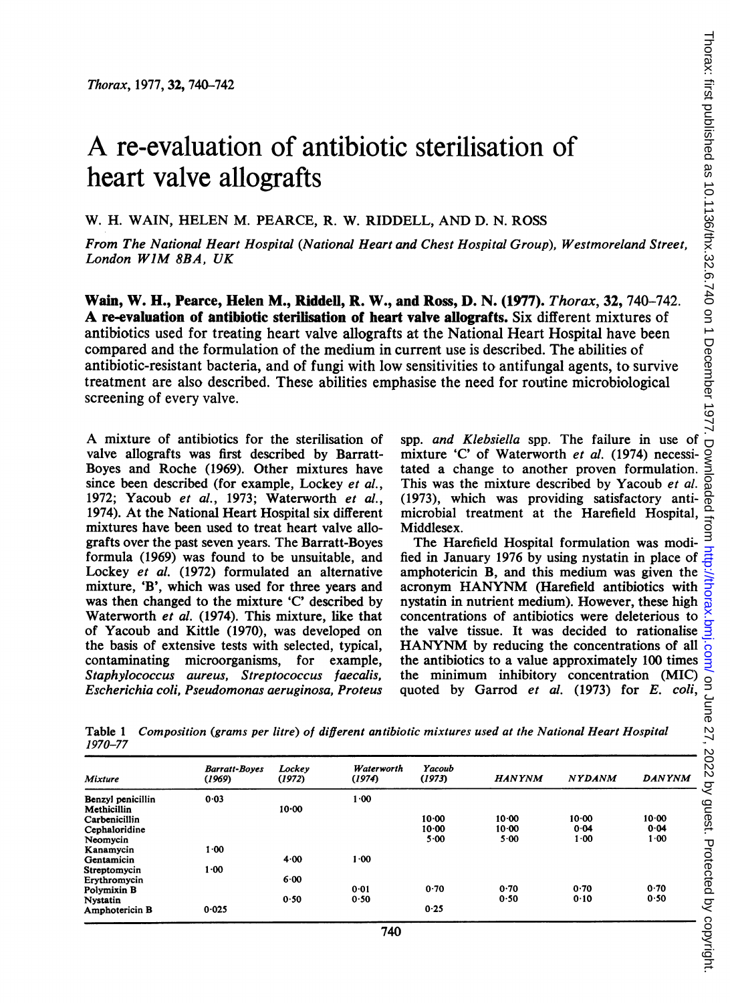## A re-evaluation of antibiotic sterilisation of heart valve allografts

W. H. WAIN, HELEN M. PEARCE, R. W. RIDDELL, AND D. N. ROSS

From The National Heart Hospital (National Heart and Chest Hospital Group), Westmoreland Street, London WIM 8BA, UK

Wain, W. H., Pearce, Helen M., Riddell, R. W., and Ross, D. N. (1977). Thorax, 32, 740-742. A re-evaluation of antibiotic sterilisation of heart valve aliografts. Six different mixtures of antibiotics used for treating heart valve allografts at the National Heart Hospital have been compared and the formulation of the medium in current use is described. The abilities of antibiotic-resistant bacteria, and of fungi with low sensitivities to antifungal agents, to survive treatment are also described. These abilities emphasise the need for routine microbiological screening of every valve.

A mixture of antibiotics for the sterilisation of valve allografts was first described by Barratt-Boyes and Roche (1969). Other mixtures have since been described (for example, Lockey et al., 1972; Yacoub et al., 1973; Waterworth et al., 1974). At the National Heart Hospital six different mixtures have been used to treat heart valve allografts over the past seven years. The Barratt-Boyes formula (1969) was found to be unsuitable, and Lockey et al. (1972) formulated an alternative mixture, 'B', which was used for three years and was then changed to the mixture 'C' described by Waterworth et al. (1974). This mixture, like that of Yacoub and Kittle (1970), was developed on the basis of extensive tests with selected, typical, contaminating microorganisms, for example, Staphylococcus aureus, Streptococcus faecalis, Escherichia coli, Pseudomonas aeruginosa, Proteus

spp. and Klebsiella spp. The failure in use of mixture 'C' of Waterworth et al. (1974) necessitated a change to another proven formulation. This was the mixture described by Yacoub et al. (1973), which was providing satisfactory antimicrobial treatment at the Harefield Hospital, Middlesex.

The Harefield Hospital formulation was modified in January 1976 by using nystatin in place of amphotericin B, and this medium was given the acronym HANYNM (Harefield antibiotics with nystatin in nutrient medium). However, these high concentrations of antibiotics were deleterious to the valve tissue. It was decided to rationalise HANYNM by reducing the concentrations of all the antibiotics to a value approximately 100 times the minimum inhibitory concentration (MIC)

|         | Table 1 Composition (grams per litre) of different antibiotic mixtures used at the National Heart Hospital |  |  |  |
|---------|------------------------------------------------------------------------------------------------------------|--|--|--|
| 1970–77 |                                                                                                            |  |  |  |

| Table 1<br>1970–77      |                                |                  | Composition (grams per litre) of different antibiotic mixtures used at the National Heart Hospital |                  |                    |               |               |
|-------------------------|--------------------------------|------------------|----------------------------------------------------------------------------------------------------|------------------|--------------------|---------------|---------------|
| <b>Mixture</b>          | <b>Barratt-Boyes</b><br>(1969) | Lockey<br>(1972) | Waterworth<br>(1974)                                                                               | Yacoub<br>(1973) | <b>HANYNM</b>      | <b>NYDANM</b> | <b>DANYNM</b> |
| Benzyl penicillin       | 0.03                           |                  | $1-00$                                                                                             |                  |                    |               |               |
| Methicillin             |                                | $10 - 00$        |                                                                                                    |                  |                    |               | $10 - 00$     |
| Carbenicillin           |                                |                  |                                                                                                    | 10.00<br>10.00   | $10 - 00$<br>10.00 | 10.00<br>0.04 | 0.04          |
| Cephaloridine           |                                |                  |                                                                                                    | 5.00             | $5 - 00$           | $1 - 00$      | 1.00          |
| Neomycin                | $1-00$                         |                  |                                                                                                    |                  |                    |               |               |
| Kanamycin<br>Gentamicin |                                | 4.00             | $1 - 00$                                                                                           |                  |                    |               |               |
| Streptomycin            | 1.00                           |                  |                                                                                                    |                  |                    |               |               |
| Erythromycin            |                                | 6.00             |                                                                                                    |                  |                    |               |               |
| <b>Polymixin B</b>      |                                |                  | 0.01                                                                                               | 0.70             | 0.70               | 0.70          | 0.70          |
| Nystatin                |                                | 0.50             | 0.50                                                                                               |                  | 0.50               | 0.10          | 0.50          |
|                         | 0.025                          |                  |                                                                                                    | 0.25             |                    |               |               |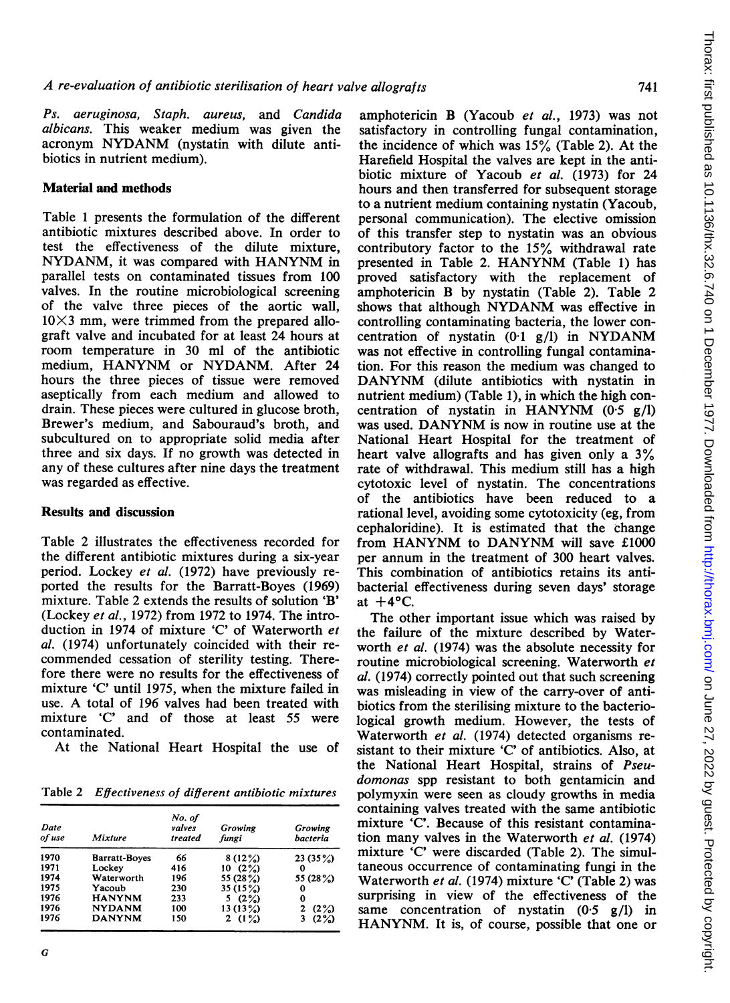Ps. aeruginosa, Staph. aureus, and Candida albicans. This weaker medium was given the acronym NYDANM (nystatin with dilute antibiotics in nutrient medium).

## Material and methods

Table <sup>1</sup> presents the formulation of the different antibiotic mixtures described above. In order to test the effectiveness of the dilute mixture, NYDANM, it was compared with HANYNM in parallel tests on contaminated tissues from 100 valves. In the routine microbiological screening of the valve three pieces of the aortic wall,  $10\times3$  mm, were trimmed from the prepared allograft valve and incubated for at least 24 hours at room temperature in 30 ml of the antibiotic medium, HANYNM or NYDANM. After <sup>24</sup> hours the three pieces of tissue were removed aseptically from each medium and allowed to drain. These pieces were cultured in glucose broth, Brewer's medium, and Sabouraud's broth, and subcultured on to appropriate solid media after three and six days. If no growth was detected in any of these cultures after nine days the treatment was regarded as effective.

## Results and discussion

Table 2 illustrates the effectiveness recorded for the different antibiotic mixtures during a six-year period. Lockey et al. (1972) have previously reported the results for the Barratt-Boyes (1969) mixture. Table 2 extends the results of solution 'B' (Lockey et al., 1972) from 1972 to 1974. The introduction in 1974 of mixture 'C' of Waterworth et al. (1974) unfortunately coincided with their recommended cessation of sterility testing. Therefore there were no results for the effectiveness of mixture 'C' until 1975, when the mixture failed in use. A total of <sup>196</sup> valves had been treated with mixture 'C' and of those at least 55 were contaminated.

At the National Heart Hospital the use of

Table 2 Effectiveness of different antibiotic mixtures

| Date<br>of use | Mixture              | No. of<br>valves<br>treated | Growing<br>fungi | Growing<br>bacteria |
|----------------|----------------------|-----------------------------|------------------|---------------------|
| 1970           | <b>Barratt-Boves</b> | 66                          | 8(12%)           | 23(35%)             |
| 1971           | Lockev               | 416                         | 10(2%)           | Ω                   |
| 1974           | Waterworth           | 196                         | 55 (28%)         | 55 (28%)            |
| 1975           | Yacoub               | 230                         | 35 (15%)         | 0                   |
| 1976           | <b>HANYNM</b>        | 233                         | 5 $(2%)$         | 0                   |
| 1976           | <b>NYDANM</b>        | 100                         | 13(13%)          | (2%)<br>2           |
| 1976           | <b>DANYNM</b>        | 150                         | 2 $(1%)$         | (2%)<br>3           |

amphotericin B (Yacoub et al., 1973) was not satisfactory in controlling fungal contamination, the incidence of which was 15% (Table 2). At the Harefield Hospital the valves are kept in the antibiotic mixture of Yacoub et al. (1973) for 24 hours and then transferred for subsequent storage to a nutrient medium containing nystatin (Yacoub, personal communication). The elective omission of this transfer step to nystatin was an obvious contributory factor to the 15% withdrawal rate presented in Table 2. HANYNM (Table 1) has proved satisfactory with the replacement of amphotericin B by nystatin (Table 2). Table 2 shows that although NYDANM was effective in controlling contaminating bacteria, the lower concentration of nystatin  $(0.1 \text{ g/l})$  in NYDANM was not effective in controlling fungal contamination. For this reason the medium was changed to DANYNM (dilute antibiotics with nystatin in nutrient medium) (Table 1), in which the high concentration of nystatin in HANYNM  $(0.5 \text{ g/l})$ was used. DANYNM is now in routine use at the National Heart Hospital for the treatment of heart valve allografts and has given only a 3% rate of withdrawal. This medium still has a high cytotoxic level of nystatin. The concentrations of the antibiotics have been reduced to a rational level, avoiding some cytotoxicity (eg, from cephaloridine). It is estimated that the change from HANYNM to DANYNM will save £1000 per annum in the treatment of 300 heart valves. This combination of antibiotics retains its antibacterial effectiveness during seven days' storage at  $+4$ °C.

The other important issue which was raised by the failure of the mixture described by Waterworth et al. (1974) was the absolute necessity for routine microbiological screening. Waterworth et al. (1974) correctly pointed out that such screening was misleading in view of the carry-over of antibiotics from the sterilising mixture to the bacteriological growth medium. However, the tests of Waterworth et al. (1974) detected organisms resistant to their mixture 'C' of antibiotics. Also, at the National Heart Hospital, strains of Pseudomonas spp resistant to both gentamicin and polymyxin were seen as cloudy growths in media containing valves treated with the same antibiotic mixture 'C'. Because of this resistant contamination many valves in the Waterworth et al. (1974) mixture 'C' were discarded (Table 2). The simultaneous occurrence of contaminating fungi in the Waterworth et al. (1974) mixture 'C' (Table 2) was surprising in view of the effectiveness of the same concentration of nystatin  $(0.5 \text{ g/l})$  in HANYNM. It is, of course, possible that one or